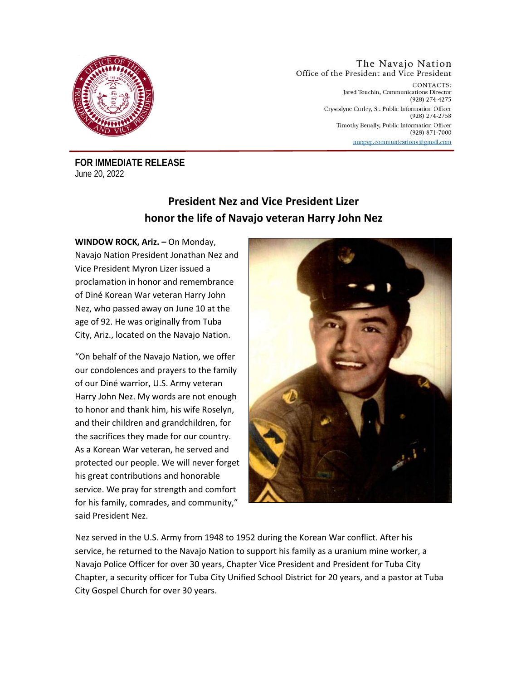

#### The Navajo Nation Office of the President and Vice President CONTACTS: Jared Touchin, Communications Director (928) 274-4275 Crystalyne Curley, Sr. Public Information Officer  $(928)$  274-2758 Timothy Benally, Public Information Officer  $(928)$  871-7000 nnopvp.communications@gmail.com

**FOR IMMEDIATE RELEASE**  June 20, 2022

# **President Nez and Vice President Lizer honor the life of Navajo veteran Harry John Nez**

**WINDOW ROCK, Ariz. –** On Monday, Navajo Nation President Jonathan Nez and Vice President Myron Lizer issued a proclamation in honor and remembrance of Diné Korean War veteran Harry John Nez, who passed away on June 10 at the age of 92. He was originally from Tuba City, Ariz., located on the Navajo Nation.

"On behalf of the Navajo Nation, we offer our condolences and prayers to the family of our Diné warrior, U.S. Army veteran Harry John Nez. My words are not enough to honor and thank him, his wife Roselyn, and their children and grandchildren, for the sacrifices they made for our country. As a Korean War veteran, he served and protected our people. We will never forget his great contributions and honorable service. We pray for strength and comfort for his family, comrades, and community," said President Nez.



Nez served in the U.S. Army from 1948 to 1952 during the Korean War conflict. After his service, he returned to the Navajo Nation to support his family as a uranium mine worker, a Navajo Police Officer for over 30 years, Chapter Vice President and President for Tuba City Chapter, a security officer for Tuba City Unified School District for 20 years, and a pastor at Tuba City Gospel Church for over 30 years.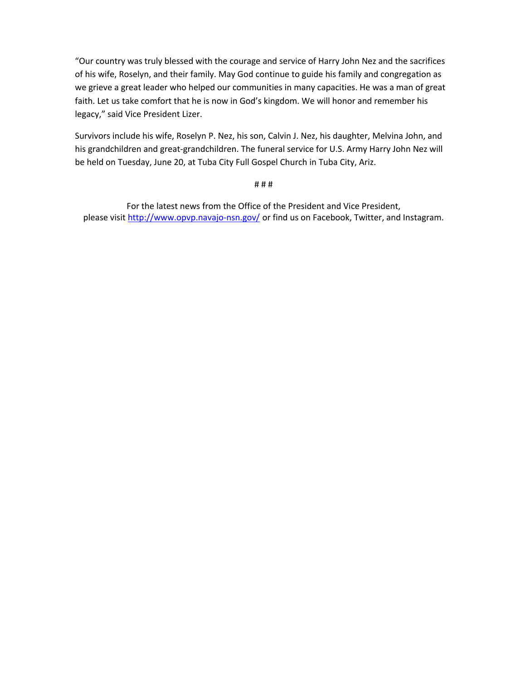"Our country was truly blessed with the courage and service of Harry John Nez and the sacrifices of his wife, Roselyn, and their family. May God continue to guide his family and congregation as we grieve a great leader who helped our communities in many capacities. He was a man of great faith. Let us take comfort that he is now in God's kingdom. We will honor and remember his legacy," said Vice President Lizer.

Survivors include his wife, Roselyn P. Nez, his son, Calvin J. Nez, his daughter, Melvina John, and his grandchildren and great-grandchildren. The funeral service for U.S. Army Harry John Nez will be held on Tuesday, June 20, at Tuba City Full Gospel Church in Tuba City, Ariz.

### # # #

For the latest news from the Office of the President and Vice President, please visit http://www.opvp.navajo-nsn.gov/ or find us on Facebook, Twitter, and Instagram.